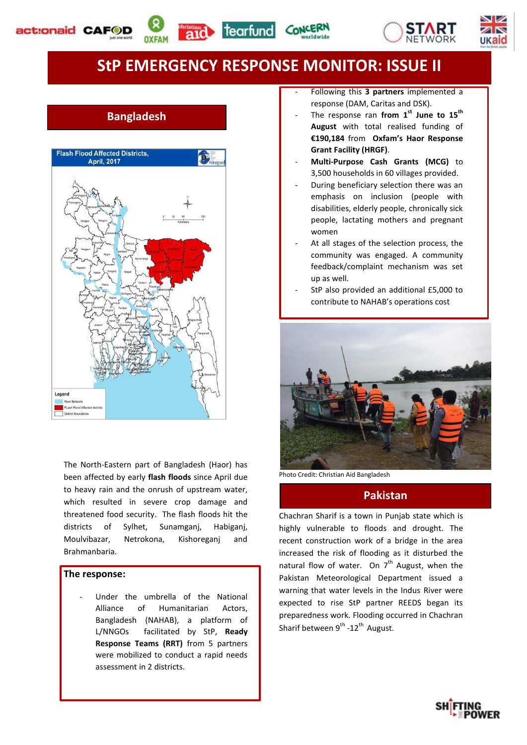







ukaio



# **Bangladesh**



The North-Eastern part of Bangladesh (Haor) has been affected by early **flash floods** since April due to heavy rain and the onrush of upstream water, which resulted in severe crop damage and threatened food security. The flash floods hit the districts of Sylhet, Sunamganj, Habiganj, Moulvibazar, Netrokona, Kishoreganj and Brahmanbaria.

#### **The response:**

Under the umbrella of the National Alliance of Humanitarian Actors, Bangladesh (NAHAB), a platform of L/NNGOs facilitated by StP, **Ready Response Teams (RRT)** from 5 partners were mobilized to conduct a rapid needs assessment in 2 districts.

- Following this **3 partners** implemented a response (DAM, Caritas and DSK).
- The response ran from 1<sup>st</sup> June to 15<sup>th</sup> **August** with total realised funding of **€190,184** from **Oxfam's Haor Response Grant Facility (HRGF)**.
- **Multi-Purpose Cash Grants (MCG)** to 3,500 households in 60 villages provided.
- During beneficiary selection there was an emphasis on inclusion (people with disabilities, elderly people, chronically sick people, lactating mothers and pregnant women
- At all stages of the selection process, the community was engaged. A community feedback/complaint mechanism was set up as well.
- StP also provided an additional £5,000 to contribute to NAHAB's operations cost



Photo Credit: Christian Aid Bangladesh

### **Pakistan**

Chachran Sharif is a town in Punjab state which is highly vulnerable to floods and drought. The recent construction work of a bridge in the area increased the risk of flooding as it disturbed the natural flow of water. On  $7<sup>th</sup>$  August, when the Pakistan Meteorological Department issued a warning that water levels in the Indus River were expected to rise StP partner REEDS began its preparedness work. Flooding occurred in Chachran Sharif between  $9^{th}$  -12<sup>th</sup> August.

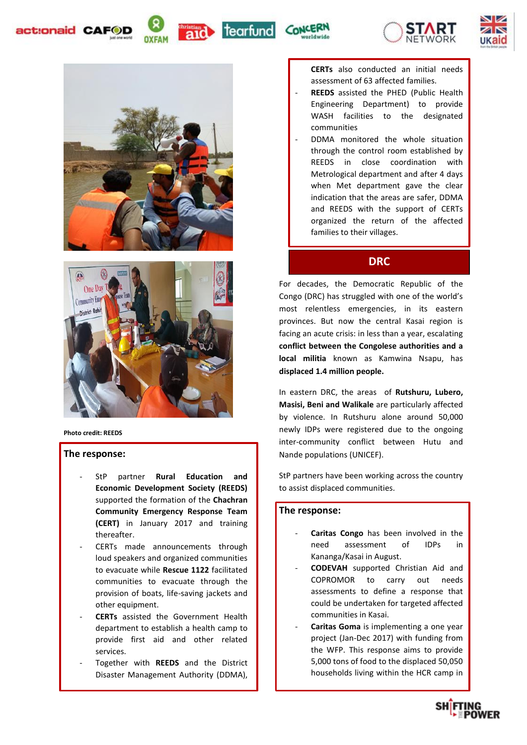act:onaid CAF















**Photo credit: REEDS**

#### **The response:**

- StP partner **Rural Education and Economic Development Society (REEDS)**  supported the formation of the **Chachran Community Emergency Response Team (CERT)** in January 2017 and training thereafter.
- CERTs made announcements through loud speakers and organized communities to evacuate while **Rescue 1122** facilitated communities to evacuate through the provision of boats, life-saving jackets and other equipment.
- **CERTs** assisted the Government Health department to establish a health camp to provide first aid and other related services.
- Together with **REEDS** and the District Disaster Management Authority (DDMA),

**CERTs** also conducted an initial needs assessment of 63 affected families.

- **REEDS** assisted the PHED (Public Health Engineering Department) to provide WASH facilities to the designated communities
- DDMA monitored the whole situation through the control room established by REEDS in close coordination with Metrological department and after 4 days when Met department gave the clear indication that the areas are safer, DDMA and REEDS with the support of CERTs organized the return of the affected families to their villages.

## **DRC**

For decades, the Democratic Republic of the Congo (DRC) has struggled with one of the world's most relentless emergencies, in its eastern provinces. But now the central Kasai region is facing an acute crisis: in less than a year, escalating **conflict between the Congolese authorities and a local militia** known as Kamwina Nsapu, has **displaced 1.4 million people.** 

In eastern DRC, the areas of **Rutshuru, Lubero, Masisi, Beni and Walikale** are particularly affected by violence. In Rutshuru alone around 50,000 newly IDPs were registered due to the ongoing inter-community conflict between Hutu and Nande populations (UNICEF).

StP partners have been working across the country to assist displaced communities.

#### **The response:**

- Caritas Congo has been involved in the need assessment of IDPs in Kananga/Kasai in August.
- **CODEVAH** supported Christian Aid and COPROMOR to carry out needs assessments to define a response that could be undertaken for targeted affected communities in Kasai.
- Caritas Goma is implementing a one year project (Jan-Dec 2017) with funding from the WFP. This response aims to provide 5,000 tons of food to the displaced 50,050 households living within the HCR camp in

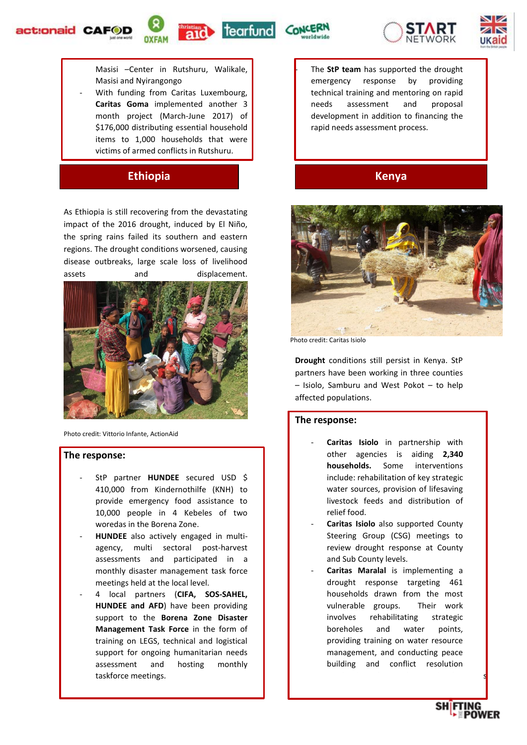









Masisi –Center in Rutshuru, Walikale, Masisi and Nyirangongo

With funding from Caritas Luxembourg, **Caritas Goma** implemented another 3 month project (March-June 2017) of \$176,000 distributing essential household items to 1,000 households that were victims of armed conflicts in Rutshuru.

## **Ethiopia Kenya**

As Ethiopia is still recovering from the devastating impact of the 2016 drought, induced by El Niño, the spring rains failed its southern and eastern regions. The drought conditions worsened, causing disease outbreaks, large scale loss of livelihood assets and displacement.



Photo credit: Vittorio Infante, ActionAid

#### **The response:**

- StP partner **HUNDEE** secured USD \$ 410,000 from Kindernothilfe (KNH) to provide emergency food assistance to 10,000 people in 4 Kebeles of two woredas in the Borena Zone.
- **HUNDEE** also actively engaged in multiagency, multi sectoral post-harvest assessments and participated in a monthly disaster management task force meetings held at the local level.
- 4 local partners (**CIFA, SOS-SAHEL, HUNDEE and AFD**) have been providing support to the **Borena Zone Disaster Management Task Force** in the form of training on LEGS, technical and logistical support for ongoing humanitarian needs assessment and hosting monthly taskforce meetings. The contract of the contract of the contract of the contract of the contract of the contract of the contract of the contract of the contract of the contract of the contract of the contract of the contra

The **StP team** has supported the drought emergency response by providing technical training and mentoring on rapid needs assessment and proposal development in addition to financing the rapid needs assessment process.



Photo credit: Caritas Isiolo

**Drought** conditions still persist in Kenya. StP partners have been working in three counties – Isiolo, Samburu and West Pokot – to help affected populations.

#### **The response:**

- Caritas Isiolo in partnership with other agencies is aiding **2,340 households.** Some interventions include: rehabilitation of key strategic water sources, provision of lifesaving livestock feeds and distribution of relief food.
- Caritas Isiolo also supported County Steering Group (CSG) meetings to review drought response at County and Sub County levels.
- Caritas Maralal is implementing a drought response targeting 461 households drawn from the most vulnerable groups. Their work involves rehabilitating strategic boreholes and water points, providing training on water resource management, and conducting peace building and conflict resolution